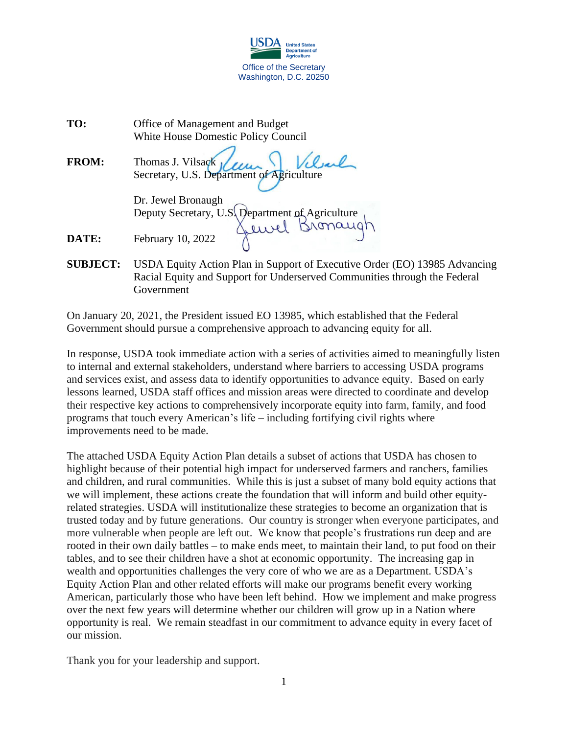

| TO:          | Office of Management and Budget        |
|--------------|----------------------------------------|
|              | White House Domestic Policy Council    |
| <b>FROM:</b> | Thomas J. Vilsagk <i>Julian Vilsal</i> |
|              | Dr. Jewel Bronaugh                     |

Deputy Secretary, U.S. Department of Agriculture

**DATE:** February 10, 2022

**SUBJECT:** USDA Equity Action Plan in Support of Executive Order (EO) 13985 Advancing Racial Equity and Support for Underserved Communities through the Federal Government

On January 20, 2021, the President issued EO 13985, which established that the Federal Government should pursue a comprehensive approach to advancing equity for all.

In response, USDA took immediate action with a series of activities aimed to meaningfully listen to internal and external stakeholders, understand where barriers to accessing USDA programs and services exist, and assess data to identify opportunities to advance equity. Based on early lessons learned, USDA staff offices and mission areas were directed to coordinate and develop their respective key actions to comprehensively incorporate equity into farm, family, and food programs that touch every American's life – including fortifying civil rights where improvements need to be made.

The attached USDA Equity Action Plan details a subset of actions that USDA has chosen to highlight because of their potential high impact for underserved farmers and ranchers, families and children, and rural communities. While this is just a subset of many bold equity actions that we will implement, these actions create the foundation that will inform and build other equityrelated strategies. USDA will institutionalize these strategies to become an organization that is trusted today and by future generations. Our country is stronger when everyone participates, and more vulnerable when people are left out. We know that people's frustrations run deep and are rooted in their own daily battles – to make ends meet, to maintain their land, to put food on their tables, and to see their children have a shot at economic opportunity. The increasing gap in wealth and opportunities challenges the very core of who we are as a Department. USDA's Equity Action Plan and other related efforts will make our programs benefit every working American, particularly those who have been left behind. How we implement and make progress over the next few years will determine whether our children will grow up in a Nation where opportunity is real. We remain steadfast in our commitment to advance equity in every facet of our mission.

Thank you for your leadership and support.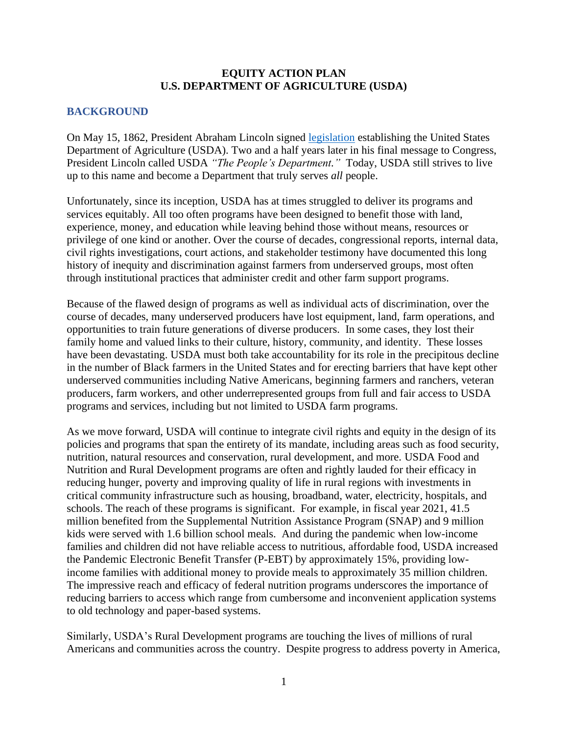### **EQUITY ACTION PLAN U.S. DEPARTMENT OF AGRICULTURE (USDA)**

### **BACKGROUND**

On May 15, 1862, President Abraham Lincoln signed [legislation](https://www.nal.usda.gov/legacy/topics/act-establish-department-agriculture) establishing the United States Department of Agriculture (USDA). Two and a half years later in his final message to Congress, President Lincoln called USDA *"The People's Department."* Today, USDA still strives to live up to this name and become a Department that truly serves *all* people.

Unfortunately, since its inception, USDA has at times struggled to deliver its programs and services equitably. All too often programs have been designed to benefit those with land, experience, money, and education while leaving behind those without means, resources or privilege of one kind or another. Over the course of decades, congressional reports, internal data, civil rights investigations, court actions, and stakeholder testimony have documented this long history of inequity and discrimination against farmers from underserved groups, most often through institutional practices that administer credit and other farm support programs.

Because of the flawed design of programs as well as individual acts of discrimination, over the course of decades, many underserved producers have lost equipment, land, farm operations, and opportunities to train future generations of diverse producers. In some cases, they lost their family home and valued links to their culture, history, community, and identity. These losses have been devastating. USDA must both take accountability for its role in the precipitous decline in the number of Black farmers in the United States and for erecting barriers that have kept other underserved communities including Native Americans, beginning farmers and ranchers, veteran producers, farm workers, and other underrepresented groups from full and fair access to USDA programs and services, including but not limited to USDA farm programs.

As we move forward, USDA will continue to integrate civil rights and equity in the design of its policies and programs that span the entirety of its mandate, including areas such as food security, nutrition, natural resources and conservation, rural development, and more. USDA Food and Nutrition and Rural Development programs are often and rightly lauded for their efficacy in reducing hunger, poverty and improving quality of life in rural regions with investments in critical community infrastructure such as housing, broadband, water, electricity, hospitals, and schools. The reach of these programs is significant. For example, in fiscal year 2021, 41.5 million benefited from the Supplemental Nutrition Assistance Program (SNAP) and 9 million kids were served with 1.6 billion school meals. And during the pandemic when low-income families and children did not have reliable access to nutritious, affordable food, USDA increased the Pandemic Electronic Benefit Transfer (P-EBT) by approximately 15%, providing lowincome families with additional money to provide meals to approximately 35 million children. The impressive reach and efficacy of federal nutrition programs underscores the importance of reducing barriers to access which range from cumbersome and inconvenient application systems to old technology and paper-based systems.

Similarly, USDA's Rural Development programs are touching the lives of millions of rural Americans and communities across the country. Despite progress to address poverty in America,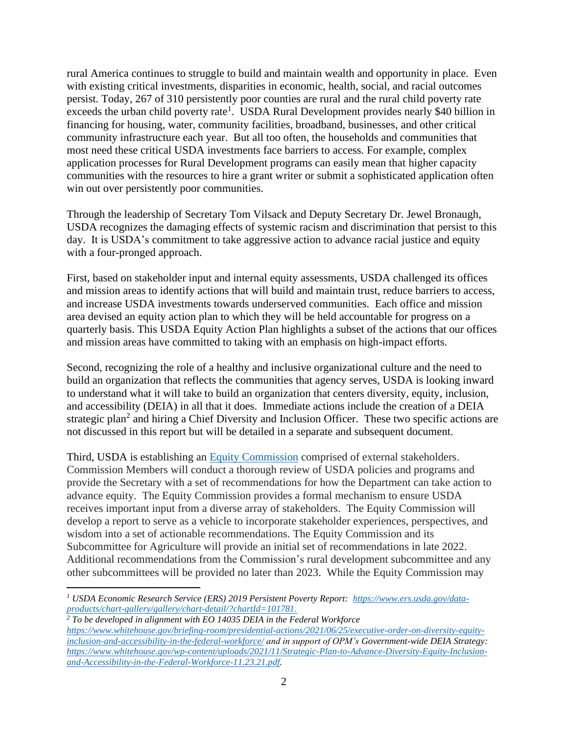rural America continues to struggle to build and maintain wealth and opportunity in place. Even with existing critical investments, disparities in economic, health, social, and racial outcomes persist. Today, 267 of 310 persistently poor counties are rural and the rural child poverty rate exceeds the urban child poverty rate<sup>1</sup>. USDA Rural Development provides nearly \$40 billion in financing for housing, water, community facilities, broadband, businesses, and other critical community infrastructure each year. But all too often, the households and communities that most need these critical USDA investments face barriers to access. For example, complex application processes for Rural Development programs can easily mean that higher capacity communities with the resources to hire a grant writer or submit a sophisticated application often win out over persistently poor communities.

Through the leadership of Secretary Tom Vilsack and Deputy Secretary Dr. Jewel Bronaugh, USDA recognizes the damaging effects of systemic racism and discrimination that persist to this day. It is USDA's commitment to take aggressive action to advance racial justice and equity with a four-pronged approach.

First, based on stakeholder input and internal equity assessments, USDA challenged its offices and mission areas to identify actions that will build and maintain trust, reduce barriers to access, and increase USDA investments towards underserved communities. Each office and mission area devised an equity action plan to which they will be held accountable for progress on a quarterly basis. This USDA Equity Action Plan highlights a subset of the actions that our offices and mission areas have committed to taking with an emphasis on high-impact efforts.

Second, recognizing the role of a healthy and inclusive organizational culture and the need to build an organization that reflects the communities that agency serves, USDA is looking inward to understand what it will take to build an organization that centers diversity, equity, inclusion, and accessibility (DEIA) in all that it does. Immediate actions include the creation of a DEIA strategic plan<sup>2</sup> and hiring a Chief Diversity and Inclusion Officer. These two specific actions are not discussed in this report but will be detailed in a separate and subsequent document.

Third, USDA is establishing an [Equity Commission](http://www.usda.gov/equity-commission) comprised of external stakeholders. Commission Members will conduct a thorough review of USDA policies and programs and provide the Secretary with a set of recommendations for how the Department can take action to advance equity. The Equity Commission provides a formal mechanism to ensure USDA receives important input from a diverse array of stakeholders. The Equity Commission will develop a report to serve as a vehicle to incorporate stakeholder experiences, perspectives, and wisdom into a set of actionable recommendations. The Equity Commission and its Subcommittee for Agriculture will provide an initial set of recommendations in late 2022. Additional recommendations from the Commission's rural development subcommittee and any other subcommittees will be provided no later than 2023. While the Equity Commission may

*<sup>1</sup> USDA Economic Research Service (ERS) 2019 Persistent Poverty Report: [https://www.ers.usda.gov/data](https://www.ers.usda.gov/data-products/chart-gallery/gallery/chart-detail/?chartId=101781)[products/chart-gallery/gallery/chart-detail/?chartId=101781.](https://www.ers.usda.gov/data-products/chart-gallery/gallery/chart-detail/?chartId=101781)*

*<sup>2</sup> To be developed in alignment with EO 14035 DEIA in the Federal Workforce [https://www.whitehouse.gov/briefing-room/presidential-actions/2021/06/25/executive-order-on-diversity-equity](https://www.whitehouse.gov/briefing-room/presidential-actions/2021/06/25/executive-order-on-diversity-equity-inclusion-and-accessibility-in-the-federal-workforce/)[inclusion-and-accessibility-in-the-federal-workforce/](https://www.whitehouse.gov/briefing-room/presidential-actions/2021/06/25/executive-order-on-diversity-equity-inclusion-and-accessibility-in-the-federal-workforce/) and in support of OPM's Government-wide DEIA Strategy: [https://www.whitehouse.gov/wp-content/uploads/2021/11/Strategic-Plan-to-Advance-Diversity-Equity-Inclusion](https://www.whitehouse.gov/wp-content/uploads/2021/11/Strategic-Plan-to-Advance-Diversity-Equity-Inclusion-and-Accessibility-in-the-Federal-Workforce-11.23.21.pdf)[and-Accessibility-in-the-Federal-Workforce-11.23.21.pdf.](https://www.whitehouse.gov/wp-content/uploads/2021/11/Strategic-Plan-to-Advance-Diversity-Equity-Inclusion-and-Accessibility-in-the-Federal-Workforce-11.23.21.pdf)*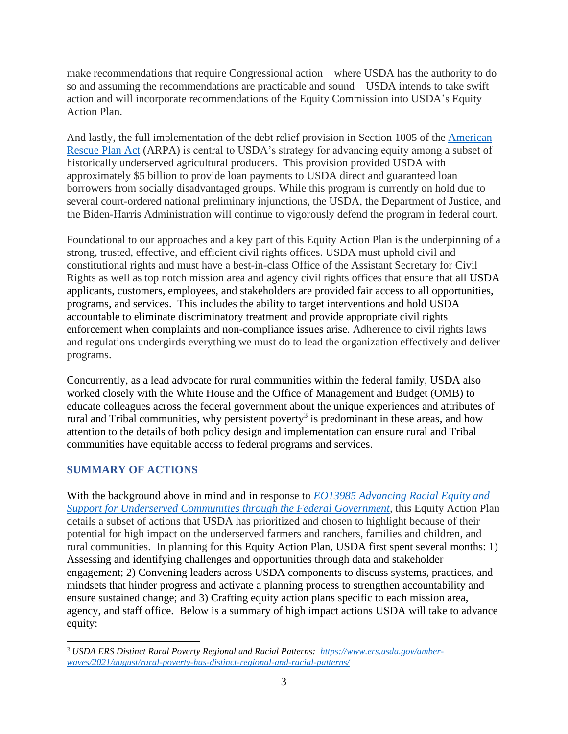make recommendations that require Congressional action – where USDA has the authority to do so and assuming the recommendations are practicable and sound – USDA intends to take swift action and will incorporate recommendations of the Equity Commission into USDA's Equity Action Plan.

And lastly, the full implementation of the debt relief provision in Section 1005 of the [American](https://www.congress.gov/117/plaws/publ2/PLAW-117publ2.pdf)  [Rescue Plan](https://www.congress.gov/117/plaws/publ2/PLAW-117publ2.pdf) Act (ARPA) is central to USDA's strategy for advancing equity among a subset of historically underserved agricultural producers. This provision provided USDA with approximately \$5 billion to provide loan payments to USDA direct and guaranteed loan borrowers from socially disadvantaged groups. While this program is currently on hold due to several court-ordered national preliminary injunctions, the USDA, the Department of Justice, and the Biden-Harris Administration will continue to vigorously defend the program in federal court.

Foundational to our approaches and a key part of this Equity Action Plan is the underpinning of a strong, trusted, effective, and efficient civil rights offices. USDA must uphold civil and constitutional rights and must have a best-in-class Office of the Assistant Secretary for Civil Rights as well as top notch mission area and agency civil rights offices that ensure that all USDA applicants, customers, employees, and stakeholders are provided fair access to all opportunities, programs, and services. This includes the ability to target interventions and hold USDA accountable to eliminate discriminatory treatment and provide appropriate civil rights enforcement when complaints and non-compliance issues arise. Adherence to civil rights laws and regulations undergirds everything we must do to lead the organization effectively and deliver programs.

Concurrently, as a lead advocate for rural communities within the federal family, USDA also worked closely with the White House and the Office of Management and Budget (OMB) to educate colleagues across the federal government about the unique experiences and attributes of rural and Tribal communities, why persistent poverty<sup>3</sup> is predominant in these areas, and how attention to the details of both policy design and implementation can ensure rural and Tribal communities have equitable access to federal programs and services.

# **SUMMARY OF ACTIONS**

With the background above in mind and in response to *[EO13985 Advancing Racial Equity and](https://www.whitehouse.gov/briefing-room/presidential-actions/2021/01/20/executive-order-advancing-racial-equity-and-support-for-underserved-communities-through-the-federal-government/)  [Support for Underserved Communities through the Federal Government,](https://www.whitehouse.gov/briefing-room/presidential-actions/2021/01/20/executive-order-advancing-racial-equity-and-support-for-underserved-communities-through-the-federal-government/)* this Equity Action Plan details a subset of actions that USDA has prioritized and chosen to highlight because of their potential for high impact on the underserved farmers and ranchers, families and children, and rural communities. In planning for this Equity Action Plan, USDA first spent several months: 1) Assessing and identifying challenges and opportunities through data and stakeholder engagement; 2) Convening leaders across USDA components to discuss systems, practices, and mindsets that hinder progress and activate a planning process to strengthen accountability and ensure sustained change; and 3) Crafting equity action plans specific to each mission area, agency, and staff office. Below is a summary of high impact actions USDA will take to advance equity:

*<sup>3</sup> USDA ERS Distinct Rural Poverty Regional and Racial Patterns: [https://www.ers.usda.gov/amber](https://www.ers.usda.gov/amber-waves/2021/august/rural-poverty-has-distinct-regional-and-racial-patterns/)[waves/2021/august/rural-poverty-has-distinct-regional-and-racial-patterns/](https://www.ers.usda.gov/amber-waves/2021/august/rural-poverty-has-distinct-regional-and-racial-patterns/)*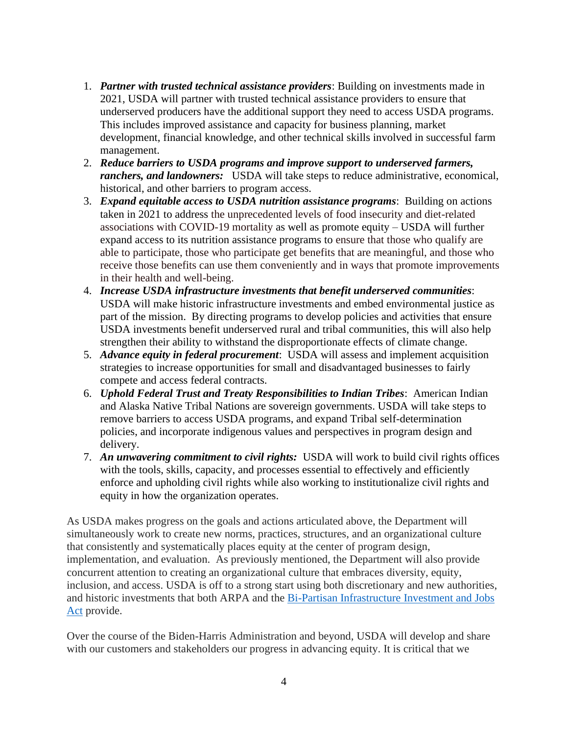- 1. *Partner with trusted technical assistance providers*: Building on investments made in 2021, USDA will partner with trusted technical assistance providers to ensure that underserved producers have the additional support they need to access USDA programs. This includes improved assistance and capacity for business planning, market development, financial knowledge, and other technical skills involved in successful farm management.
- 2. *Reduce barriers to USDA programs and improve support to underserved farmers, ranchers, and landowners:* USDA will take steps to reduce administrative, economical, historical, and other barriers to program access.
- 3. *Expand equitable access to USDA nutrition assistance programs*: Building on actions taken in 2021 to address the unprecedented levels of food insecurity and diet-related associations with COVID-19 mortality as well as promote equity – USDA will further expand access to its nutrition assistance programs to ensure that those who qualify are able to participate, those who participate get benefits that are meaningful, and those who receive those benefits can use them conveniently and in ways that promote improvements in their health and well-being.
- 4. *Increase USDA infrastructure investments that benefit underserved communities*: USDA will make historic infrastructure investments and embed environmental justice as part of the mission. By directing programs to develop policies and activities that ensure USDA investments benefit underserved rural and tribal communities, this will also help strengthen their ability to withstand the disproportionate effects of climate change.
- 5. *Advance equity in federal procurement*: USDA will assess and implement acquisition strategies to increase opportunities for small and disadvantaged businesses to fairly compete and access federal contracts.
- 6. *Uphold Federal Trust and Treaty Responsibilities to Indian Tribes*: American Indian and Alaska Native Tribal Nations are sovereign governments. USDA will take steps to remove barriers to access USDA programs, and expand Tribal self-determination policies, and incorporate indigenous values and perspectives in program design and delivery.
- 7. *An unwavering commitment to civil rights:* USDA will work to build civil rights offices with the tools, skills, capacity, and processes essential to effectively and efficiently enforce and upholding civil rights while also working to institutionalize civil rights and equity in how the organization operates.

As USDA makes progress on the goals and actions articulated above, the Department will simultaneously work to create new norms, practices, structures, and an organizational culture that consistently and systematically places equity at the center of program design, implementation, and evaluation. As previously mentioned, the Department will also provide concurrent attention to creating an organizational culture that embraces diversity, equity, inclusion, and access. USDA is off to a strong start using both discretionary and new authorities, and historic investments that both ARPA and the [Bi-Partisan Infrastructure](https://www.congress.gov/117/plaws/publ58/PLAW-117publ58.pdf) Investment and Jobs [Act](https://www.congress.gov/117/plaws/publ58/PLAW-117publ58.pdf) provide.

Over the course of the Biden-Harris Administration and beyond, USDA will develop and share with our customers and stakeholders our progress in advancing equity. It is critical that we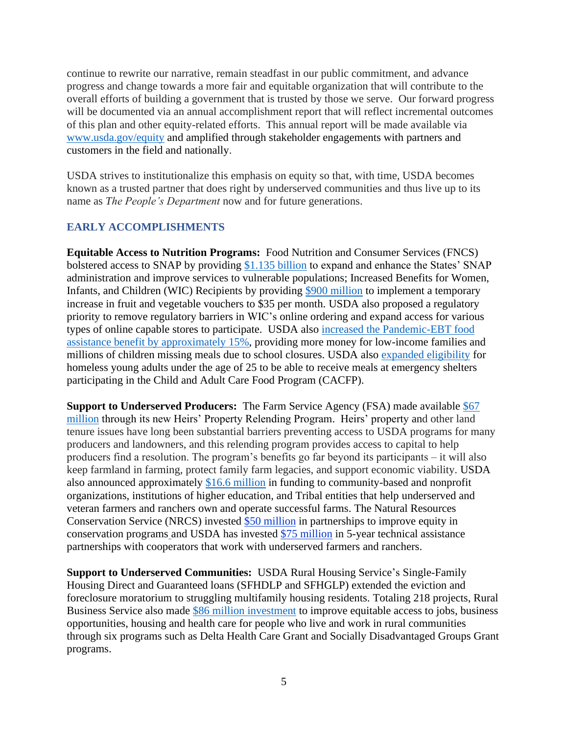continue to rewrite our narrative, remain steadfast in our public commitment, and advance progress and change towards a more fair and equitable organization that will contribute to the overall efforts of building a government that is trusted by those we serve. Our forward progress will be documented via an annual accomplishment report that will reflect incremental outcomes of this plan and other equity-related efforts. This annual report will be made available via [www.usda.gov/equity](http://www.usda.gov/equity) and amplified through stakeholder engagements with partners and customers in the field and nationally.

USDA strives to institutionalize this emphasis on equity so that, with time, USDA becomes known as a trusted partner that does right by underserved communities and thus live up to its name as *The People's Department* now and for future generations.

# **EARLY ACCOMPLISHMENTS**

**Equitable Access to Nutrition Programs:** Food Nutrition and Consumer Services (FNCS) bolstered access to SNAP by providing [\\$1.135 billion](https://www.fns.usda.gov/news-item/fns-000221) to expand and enhance the States' SNAP administration and improve services to vulnerable populations; Increased Benefits for Women, Infants, and Children (WIC) Recipients by providing [\\$900 million](https://www.fns.usda.gov/news-item/fns-000221) to implement a temporary increase in fruit and vegetable vouchers to \$35 per month. USDA also proposed a [regulatory](https://www.reginfo.gov/public/do/eAgendaViewRule?pubId=202110&RIN=0584-AE85)  [priority](https://www.reginfo.gov/public/do/eAgendaViewRule?pubId=202110&RIN=0584-AE85) to remove regulatory barriers in WIC's online ordering and expand access for various types of online capable stores to participate. USDA also [increased the Pandemic-EBT food](https://www.usda.gov/media/press-releases/2021/03/22/usda-increases-snap-benefits-15-funding-american-rescue-plan)  [assistance benefit by approximately 15%,](https://www.usda.gov/media/press-releases/2021/03/22/usda-increases-snap-benefits-15-funding-american-rescue-plan) providing more money for low-income families and millions of children missing meals due to school closures. USDA also [expanded eligibility](https://www.usda.gov/media/press-releases/2021/04/09/usda-boosts-food-assistance-homeless-young-adults-seeking-refuge) for homeless young adults under the age of 25 to be able to receive meals at emergency shelters participating in the Child and Adult Care Food Program (CACFP).

**Support to Underserved Producers:** The Farm Service Agency (FSA) made available \$67 [million](https://www.usda.gov/media/press-releases/2021/07/29/biden-administration-invest-67-million-help-heirs-resolve-land) through its new Heirs' Property Relending Program. [Heirs' property](https://www.farmers.gov/working-with-us/heirs-property-eligibility) and other land tenure issues have long been substantial barriers preventing access to USDA programs for many producers and landowners, and this relending program provides access to capital to help producers find a resolution. The program's benefits go far beyond its participants – it will also keep farmland in farming, protect family farm legacies, and support economic viability. USDA also announced approximately [\\$16.6 million](https://www.usda.gov/media/press-releases/2021/07/26/usda-announces-166-million-funding-opportunities-support-socially#:~:text=WASHINGTON%2C%20July%2026%2C%202021%20%E2%80%93,and%20ranchers%20own%20and%20operate) in funding to community-based and nonprofit organizations, institutions of higher education, and Tribal entities that help underserved and veteran farmers and ranchers own and operate successful farms. The Natural Resources Conservation Service (NRCS) invested \$50 million [in partnerships to improve equity in](https://www.usda.gov/media/press-releases/2022/01/10/usda-invests-50-million-partnerships-improve-equity-conservation)  [conservation programs](https://www.usda.gov/media/press-releases/2022/01/10/usda-invests-50-million-partnerships-improve-equity-conservation) and USDA has invested \$75 million [in 5-year technical assistance](https://www.usda.gov/media/press-releases/2021/11/24/usda-announces-american-rescue-plan-technical-assistance)  [partnerships](https://www.usda.gov/media/press-releases/2021/11/24/usda-announces-american-rescue-plan-technical-assistance) with cooperators that work with underserved farmers and ranchers.

**Support to Underserved Communities:** USDA Rural Housing Service's Single-Family Housing Direct and Guaranteed loans (SFHDLP and SFHGLP) extended the eviction and foreclosure moratorium to struggling multifamily housing residents. Totaling 218 projects, Rural Business Service also made [\\$86 million investment](https://www.usda.gov/media/press-releases/2021/11/18/usda-invests-86-million-improve-equitable-access-jobs-business) to improve equitable access to jobs, business opportunities, housing and health care for people who live and work in rural communities through six programs such as Delta Health Care Grant and Socially Disadvantaged Groups Grant programs.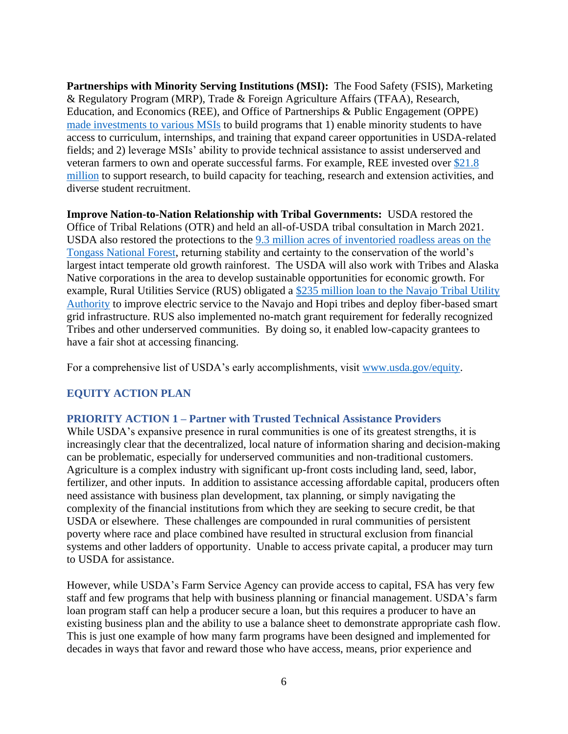**Partnerships with Minority Serving Institutions (MSI):** The Food Safety (FSIS), Marketing & Regulatory Program (MRP), Trade & Foreign Agriculture Affairs (TFAA), Research, Education, and Economics (REE), and Office of Partnerships & Public Engagement (OPPE) [made investments to various MSIs](https://www.usda.gov/media/press-releases/2022/01/20/us-agriculture-secretary-tom-vilsack-highlights-key-work-2021) to build programs that 1) enable minority students to have access to curriculum, internships, and training that expand career opportunities in USDA-related fields; and 2) leverage MSIs' ability to provide technical assistance to assist underserved and veteran farmers to own and operate successful farms. For example, REE invested over [\\$21.8](https://www.usda.gov/media/press-releases/2021/07/28/usda-invests-over-218m-build-agricultural-capacity-hbcus-nations)  [million](https://www.usda.gov/media/press-releases/2021/07/28/usda-invests-over-218m-build-agricultural-capacity-hbcus-nations) to support research, to build capacity for teaching, research and extension activities, and diverse student recruitment.

**Improve Nation-to-Nation Relationship with Tribal Governments:** USDA restored the Office of Tribal Relations (OTR) and held an all-of-USDA tribal consultation in March 2021. USDA also restored the protections to the [9.3 million acres of inventoried roadless areas on the](https://www.usda.gov/media/press-releases/2021/11/19/usda-announces-steps-restore-roadless-protections-tongass-national)  [Tongass National Forest,](https://www.usda.gov/media/press-releases/2021/11/19/usda-announces-steps-restore-roadless-protections-tongass-national) returning stability and certainty to the conservation of the world's largest intact temperate old growth rainforest. The USDA will also work with Tribes and Alaska Native corporations in the area to develop sustainable opportunities for economic growth. For example, Rural Utilities Service (RUS) obligated a [\\$235 million loan to the Navajo Tribal Utility](https://www.rd.usda.gov/newsroom/news-release/usda-invests-235-million-navajo-tribal-utility-authority-improve-and)  [Authority](https://www.rd.usda.gov/newsroom/news-release/usda-invests-235-million-navajo-tribal-utility-authority-improve-and) to improve electric service to the Navajo and Hopi tribes and deploy fiber-based smart grid infrastructure. RUS also implemented no-match grant requirement for federally recognized Tribes and other underserved communities. By doing so, it enabled low-capacity grantees to have a fair shot at accessing financing.

For a comprehensive list of USDA's early accomplishments, visit [www.usda.gov/equity.](http://www.usda.gov/equity)

# **EQUITY ACTION PLAN**

### **PRIORITY ACTION 1 – Partner with Trusted Technical Assistance Providers**

While USDA's expansive presence in rural communities is one of its greatest strengths, it is increasingly clear that the decentralized, local nature of information sharing and decision-making can be problematic, especially for underserved communities and non-traditional customers. Agriculture is a complex industry with significant up-front costs including land, seed, labor, fertilizer, and other inputs. In addition to assistance accessing affordable capital, producers often need assistance with business plan development, tax planning, or simply navigating the complexity of the financial institutions from which they are seeking to secure credit, be that USDA or elsewhere. These challenges are compounded in rural communities of persistent poverty where race and place combined have resulted in structural exclusion from financial systems and other ladders of opportunity. Unable to access private capital, a producer may turn to USDA for assistance.

However, while USDA's Farm Service Agency can provide access to capital, FSA has very few staff and few programs that help with business planning or financial management. USDA's farm loan program staff can help a producer secure a loan, but this requires a producer to have an existing business plan and the ability to use a balance sheet to demonstrate appropriate cash flow. This is just one example of how many farm programs have been designed and implemented for decades in ways that favor and reward those who have access, means, prior experience and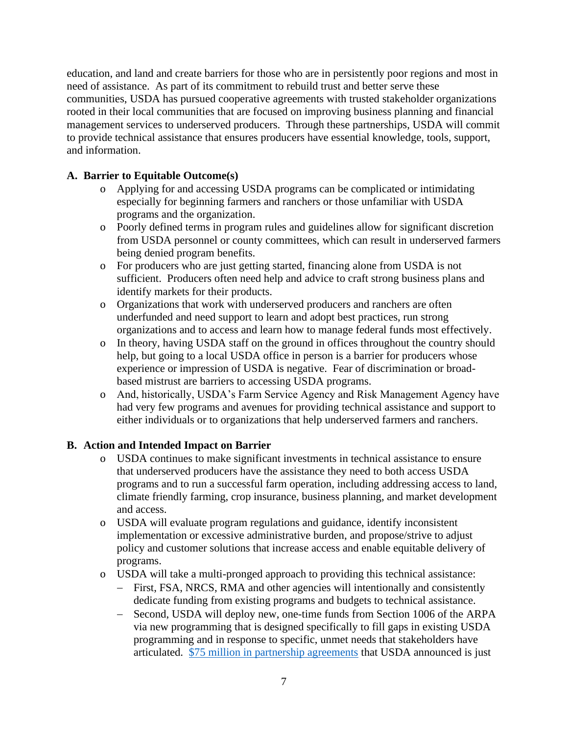education, and land and create barriers for those who are in persistently poor regions and most in need of assistance. As part of its commitment to rebuild trust and better serve these communities, USDA has pursued cooperative agreements with trusted stakeholder organizations rooted in their local communities that are focused on improving business planning and financial management services to underserved producers. Through these partnerships, USDA will commit to provide technical assistance that ensures producers have essential knowledge, tools, support, and information.

# **A. Barrier to Equitable Outcome(s)**

- o Applying for and accessing USDA programs can be complicated or intimidating especially for beginning farmers and ranchers or those unfamiliar with USDA programs and the organization.
- o Poorly defined terms in program rules and guidelines allow for significant discretion from USDA personnel or county committees, which can result in underserved farmers being denied program benefits.
- o For producers who are just getting started, financing alone from USDA is not sufficient. Producers often need help and advice to craft strong business plans and identify markets for their products.
- o Organizations that work with underserved producers and ranchers are often underfunded and need support to learn and adopt best practices, run strong organizations and to access and learn how to manage federal funds most effectively.
- o In theory, having USDA staff on the ground in offices throughout the country should help, but going to a local USDA office in person is a barrier for producers whose experience or impression of USDA is negative. Fear of discrimination or broadbased mistrust are barriers to accessing USDA programs.
- o And, historically, USDA's Farm Service Agency and Risk Management Agency have had very few programs and avenues for providing technical assistance and support to either individuals or to organizations that help underserved farmers and ranchers.

- o USDA continues to make significant investments in technical assistance to ensure that underserved producers have the assistance they need to both access USDA programs and to run a successful farm operation, including addressing access to land, climate friendly farming, crop insurance, business planning, and market development and access.
- o USDA will evaluate program regulations and guidance, identify inconsistent implementation or excessive administrative burden, and propose/strive to adjust policy and customer solutions that increase access and enable equitable delivery of programs.
- o USDA will take a multi-pronged approach to providing this technical assistance:
	- − First, FSA, NRCS, RMA and other agencies will intentionally and consistently dedicate funding from existing programs and budgets to technical assistance.
	- − Second, USDA will deploy new, one-time funds from Section 1006 of the ARPA via new programming that is designed specifically to fill gaps in existing USDA programming and in response to specific, unmet needs that stakeholders have articulated. [\\$75 million in partnership agreements](https://www.usda.gov/media/press-releases/2021/11/24/usda-announces-american-rescue-plan-technical-assistance) that USDA announced is just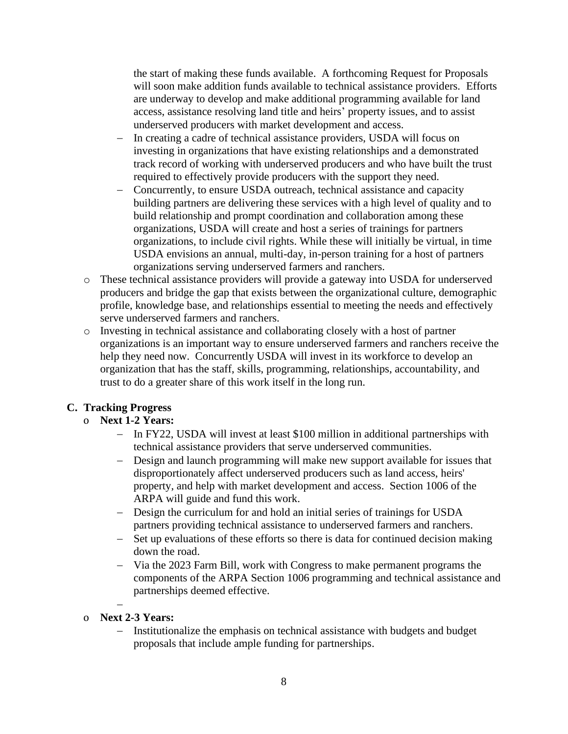the start of making these funds available. A forthcoming Request for Proposals will soon make addition funds available to technical assistance providers. Efforts are underway to develop and make additional programming available for land access, assistance resolving land title and heirs' property issues, and to assist underserved producers with market development and access.

- − In creating a cadre of technical assistance providers, USDA will focus on investing in organizations that have existing relationships and a demonstrated track record of working with underserved producers and who have built the trust required to effectively provide producers with the support they need.
- − Concurrently, to ensure USDA outreach, technical assistance and capacity building partners are delivering these services with a high level of quality and to build relationship and prompt coordination and collaboration among these organizations, USDA will create and host a series of trainings for partners organizations, to include civil rights. While these will initially be virtual, in time USDA envisions an annual, multi-day, in-person training for a host of partners organizations serving underserved farmers and ranchers.
- o These technical assistance providers will provide a gateway into USDA for underserved producers and bridge the gap that exists between the organizational culture, demographic profile, knowledge base, and relationships essential to meeting the needs and effectively serve underserved farmers and ranchers.
- o Investing in technical assistance and collaborating closely with a host of partner organizations is an important way to ensure underserved farmers and ranchers receive the help they need now. Concurrently USDA will invest in its workforce to develop an organization that has the staff, skills, programming, relationships, accountability, and trust to do a greater share of this work itself in the long run.

## **C. Tracking Progress**

## o **Next 1-2 Years:**

- − In FY22, USDA will invest at least \$100 million in additional partnerships with technical assistance providers that serve underserved communities.
- − Design and launch programming will make new support available for issues that disproportionately affect underserved producers such as land access, heirs' property, and help with market development and access. Section 1006 of the ARPA will guide and fund this work.
- − Design the curriculum for and hold an initial series of trainings for USDA partners providing technical assistance to underserved farmers and ranchers.
- − Set up evaluations of these efforts so there is data for continued decision making down the road.
- − Via the 2023 Farm Bill, work with Congress to make permanent programs the components of the ARPA Section 1006 programming and technical assistance and partnerships deemed effective.
- − o **Next 2-3 Years:**
	- Institutionalize the emphasis on technical assistance with budgets and budget proposals that include ample funding for partnerships.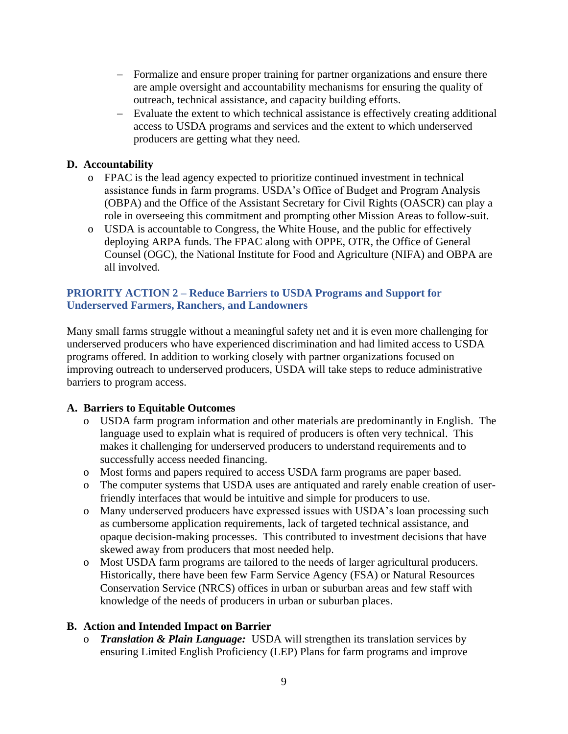- − Formalize and ensure proper training for partner organizations and ensure there are ample oversight and accountability mechanisms for ensuring the quality of outreach, technical assistance, and capacity building efforts.
- − Evaluate the extent to which technical assistance is effectively creating additional access to USDA programs and services and the extent to which underserved producers are getting what they need.

# **D. Accountability**

- o FPAC is the lead agency expected to prioritize continued investment in technical assistance funds in farm programs. USDA's Office of Budget and Program Analysis (OBPA) and the Office of the Assistant Secretary for Civil Rights (OASCR) can play a role in overseeing this commitment and prompting other Mission Areas to follow-suit.
- o USDA is accountable to Congress, the White House, and the public for effectively deploying ARPA funds. The FPAC along with OPPE, OTR, the Office of General Counsel (OGC), the National Institute for Food and Agriculture (NIFA) and OBPA are all involved.

## **PRIORITY ACTION 2 – Reduce Barriers to USDA Programs and Support for Underserved Farmers, Ranchers, and Landowners**

Many small farms struggle without a meaningful safety net and it is even more challenging for underserved producers who have experienced discrimination and had limited access to USDA programs offered. In addition to working closely with partner organizations focused on improving outreach to underserved producers, USDA will take steps to reduce administrative barriers to program access.

## **A. Barriers to Equitable Outcomes**

- o USDA farm program information and other materials are predominantly in English. The language used to explain what is required of producers is often very technical. This makes it challenging for underserved producers to understand requirements and to successfully access needed financing.
- o Most forms and papers required to access USDA farm programs are paper based.
- o The computer systems that USDA uses are antiquated and rarely enable creation of userfriendly interfaces that would be intuitive and simple for producers to use.
- o Many underserved producers have expressed issues with USDA's loan processing such as cumbersome application requirements, lack of targeted technical assistance, and opaque decision-making processes. This contributed to investment decisions that have skewed away from producers that most needed help.
- o Most USDA farm programs are tailored to the needs of larger agricultural producers. Historically, there have been few Farm Service Agency (FSA) or Natural Resources Conservation Service (NRCS) offices in urban or suburban areas and few staff with knowledge of the needs of producers in urban or suburban places.

## **B. Action and Intended Impact on Barrier**

o *Translation & Plain Language:* USDA will strengthen its translation services by ensuring Limited English Proficiency (LEP) Plans for farm programs and improve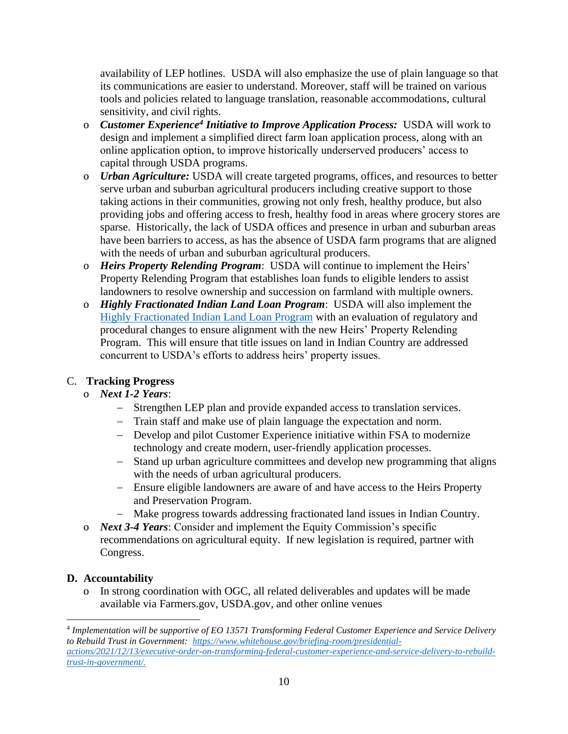availability of LEP hotlines. USDA will also emphasize the use of plain language so that its communications are easier to understand. Moreover, staff will be trained on various tools and policies related to language translation, reasonable accommodations, cultural sensitivity, and civil rights.

- o *Customer Experience<sup>4</sup> Initiative to Improve Application Process:* USDA will work to design and implement a simplified direct farm loan application process, along with an online application option, to improve historically underserved producers' access to capital through USDA programs.
- o *Urban Agriculture:* USDA will create targeted programs, offices, and resources to better serve urban and suburban agricultural producers including creative support to those taking actions in their communities, growing not only fresh, healthy produce, but also providing jobs and offering access to fresh, healthy food in areas where grocery stores are sparse. Historically, the lack of USDA offices and presence in urban and suburban areas have been barriers to access, as has the absence of USDA farm programs that are aligned with the needs of urban and suburban agricultural producers.
- o *Heirs Property Relending Program*: USDA will continue to implement the Heirs' Property Relending Program that establishes loan funds to eligible lenders to assist landowners to resolve ownership and succession on farmland with multiple owners.
- o *Highly Fractionated Indian Land Loan Program*: USDA will also implement the [Highly Fractionated Indian Land Loan Program](https://www.fsa.usda.gov/Assets/USDA-FSA-Public/usdafiles/FactSheets/2019/highly-fractionated-indian-land-loan-program-fact_sheet-aug_2019.pdf) with an evaluation of regulatory and procedural changes to ensure alignment with the new Heirs' Property Relending Program. This will ensure that title issues on land in Indian Country are addressed concurrent to USDA's efforts to address heirs' property issues.

# C. **Tracking Progress**

# o *Next 1-2 Years*:

- − Strengthen LEP plan and provide expanded access to translation services.
- − Train staff and make use of plain language the expectation and norm.
- − Develop and pilot Customer Experience initiative within FSA to modernize technology and create modern, user-friendly application processes.
- − Stand up urban agriculture committees and develop new programming that aligns with the needs of urban agricultural producers.
- − Ensure eligible landowners are aware of and have access to the Heirs Property and Preservation Program.
- − Make progress towards addressing fractionated land issues in Indian Country.
- o *Next 3-4 Years*: Consider and implement the Equity Commission's specific recommendations on agricultural equity. If new legislation is required, partner with Congress.

# **D. Accountability**

o In strong coordination with OGC, all related deliverables and updates will be made available via Farmers.gov, USDA.gov, and other online venues

*<sup>4</sup> Implementation will be supportive of EO 13571 Transforming Federal Customer Experience and Service Delivery to Rebuild Trust in Government: [https://www.whitehouse.gov/briefing-room/presidential](https://www.whitehouse.gov/briefing-room/presidential-actions/2021/12/13/executive-order-on-transforming-federal-customer-experience-and-service-delivery-to-rebuild-trust-in-government/)[actions/2021/12/13/executive-order-on-transforming-federal-customer-experience-and-service-delivery-to-rebuild](https://www.whitehouse.gov/briefing-room/presidential-actions/2021/12/13/executive-order-on-transforming-federal-customer-experience-and-service-delivery-to-rebuild-trust-in-government/)[trust-in-government/.](https://www.whitehouse.gov/briefing-room/presidential-actions/2021/12/13/executive-order-on-transforming-federal-customer-experience-and-service-delivery-to-rebuild-trust-in-government/)*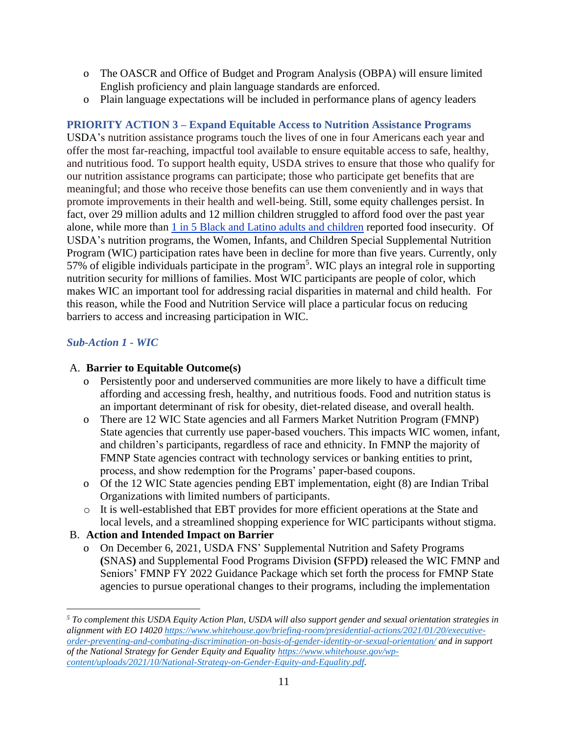- o The OASCR and Office of Budget and Program Analysis (OBPA) will ensure limited English proficiency and plain language standards are enforced.
- o Plain language expectations will be included in performance plans of agency leaders

# **PRIORITY ACTION 3 – Expand Equitable Access to Nutrition Assistance Programs**

USDA's nutrition assistance programs touch the lives of one in four Americans each year and offer the most far-reaching, impactful tool available to ensure equitable access to safe, healthy, and nutritious food. To support health equity, USDA strives to ensure that those who qualify for our nutrition assistance programs can participate; those who participate get benefits that are meaningful; and those who receive those benefits can use them conveniently and in ways that promote improvements in their health and well-being. Still, some equity challenges persist. In fact, over 29 million adults and 12 million children struggled to afford food over the past year alone, while more than [1 in 5 Black and Latino adults and children](https://www.fns.usda.gov/blog/tackling-food-insecurity-through-pandemic-electronic-benefits-transfer) reported food insecurity. Of USDA's nutrition programs, the Women, Infants, and Children Special Supplemental Nutrition Program (WIC) participation rates have been in decline for more than five years. Currently, only 57% of eligible individuals participate in the program<sup>5</sup>. WIC plays an integral role in supporting nutrition security for millions of families. Most WIC participants are people of color, which makes WIC an important tool for addressing racial disparities in maternal and child health. For this reason, while the Food and Nutrition Service will place a particular focus on reducing barriers to access and increasing participation in WIC.

## *Sub-Action 1 - WIC*

### A. **Barrier to Equitable Outcome(s)**

- o Persistently poor and underserved communities are more likely to have a difficult time affording and accessing fresh, healthy, and nutritious foods. Food and nutrition status is an important determinant of risk for obesity, diet-related disease, and overall health.
- o There are 12 WIC State agencies and all Farmers Market Nutrition Program (FMNP) State agencies that currently use paper-based vouchers. This impacts WIC women, infant, and children's participants, regardless of race and ethnicity. In FMNP the majority of FMNP State agencies contract with technology services or banking entities to print, process, and show redemption for the Programs' paper-based coupons.
- o Of the 12 WIC State agencies pending EBT implementation, eight (8) are Indian Tribal Organizations with limited numbers of participants.
- o It is well-established that EBT provides for more efficient operations at the State and local levels, and a streamlined shopping experience for WIC participants without stigma.

## B. **Action and Intended Impact on Barrier**

o On December 6, 2021, USDA FNS' Supplemental Nutrition and Safety Programs **(**SNAS**)** and Supplemental Food Programs Division **(**SFPD**)** released the WIC FMNP and Seniors' FMNP FY 2022 Guidance Package which set forth the process for FMNP State agencies to pursue operational changes to their programs, including the implementation

*<sup>5</sup> To complement this USDA Equity Action Plan, USDA will also support gender and sexual orientation strategies in alignment with EO 1402[0 https://www.whitehouse.gov/briefing-room/presidential-actions/2021/01/20/executive](https://www.whitehouse.gov/briefing-room/presidential-actions/2021/01/20/executive-order-preventing-and-combating-discrimination-on-basis-of-gender-identity-or-sexual-orientation/)[order-preventing-and-combating-discrimination-on-basis-of-gender-identity-or-sexual-orientation/](https://www.whitehouse.gov/briefing-room/presidential-actions/2021/01/20/executive-order-preventing-and-combating-discrimination-on-basis-of-gender-identity-or-sexual-orientation/) and in support of the National Strategy for Gender Equity and Equality [https://www.whitehouse.gov/wp](https://www.whitehouse.gov/wp-content/uploads/2021/10/National-Strategy-on-Gender-Equity-and-Equality.pdf)[content/uploads/2021/10/National-Strategy-on-Gender-Equity-and-Equality.pdf.](https://www.whitehouse.gov/wp-content/uploads/2021/10/National-Strategy-on-Gender-Equity-and-Equality.pdf)*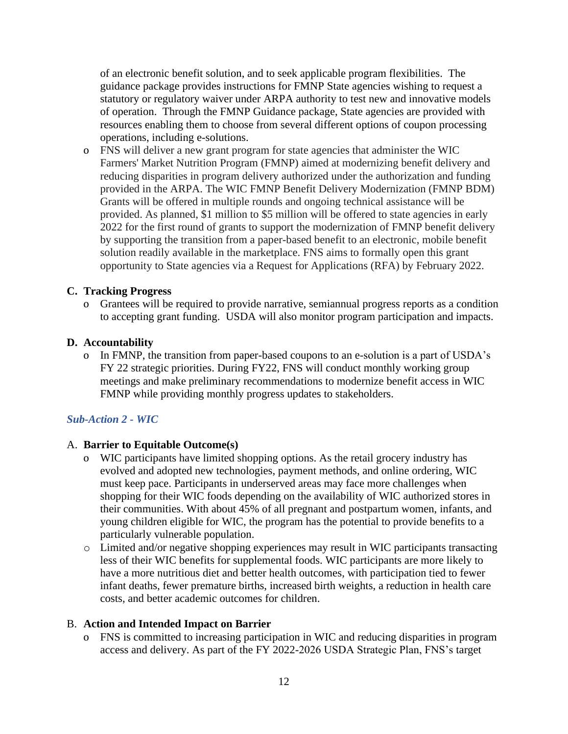of an electronic benefit solution, and to seek applicable program flexibilities. The guidance package provides instructions for FMNP State agencies wishing to request a statutory or regulatory waiver under ARPA authority to test new and innovative models of operation. Through the FMNP Guidance package, State agencies are provided with resources enabling them to choose from several different options of coupon processing operations, including e-solutions.

o FNS will deliver a new grant program for state agencies that administer the WIC Farmers' Market Nutrition Program (FMNP) aimed at modernizing benefit delivery and reducing disparities in program delivery authorized under the authorization and funding provided in the ARPA. The WIC FMNP Benefit Delivery Modernization (FMNP BDM) Grants will be offered in multiple rounds and ongoing technical assistance will be provided. As planned, \$1 million to \$5 million will be offered to state agencies in early 2022 for the first round of grants to support the modernization of FMNP benefit delivery by supporting the transition from a paper-based benefit to an electronic, mobile benefit solution readily available in the marketplace. FNS aims to formally open this grant opportunity to State agencies via a Request for Applications (RFA) by February 2022.

#### **C. Tracking Progress**

o Grantees will be required to provide narrative, semiannual progress reports as a condition to accepting grant funding. USDA will also monitor program participation and impacts.

#### **D. Accountability**

o In FMNP, the transition from paper-based coupons to an e-solution is a part of USDA's FY 22 strategic priorities. During FY22, FNS will conduct monthly working group meetings and make preliminary recommendations to modernize benefit access in WIC FMNP while providing monthly progress updates to stakeholders.

### *Sub-Action 2 - WIC*

#### A. **Barrier to Equitable Outcome(s)**

- o WIC participants have limited shopping options. As the retail grocery industry has evolved and adopted new technologies, payment methods, and online ordering, WIC must keep pace. Participants in underserved areas may face more challenges when shopping for their WIC foods depending on the availability of WIC authorized stores in their communities. With about 45% of all pregnant and postpartum women, infants, and young children eligible for WIC, the program has the potential to provide benefits to a particularly vulnerable population.
- o Limited and/or negative shopping experiences may result in WIC participants transacting less of their WIC benefits for supplemental foods. WIC participants are more likely to have a more nutritious diet and better health outcomes, with participation tied to fewer infant deaths, fewer premature births, increased birth weights, a reduction in health care costs, and better academic outcomes for children.

#### B. **Action and Intended Impact on Barrier**

o FNS is committed to increasing participation in WIC and reducing disparities in program access and delivery. As part of the FY 2022-2026 USDA Strategic Plan, FNS's target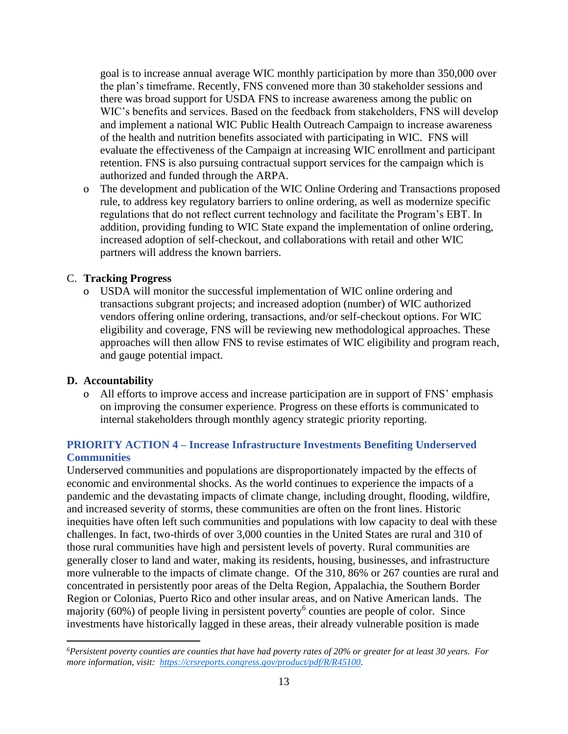goal is to increase annual average WIC monthly participation by more than 350,000 over the plan's timeframe. Recently, FNS convened more than 30 stakeholder sessions and there was broad support for USDA FNS to increase awareness among the public on WIC's benefits and services. Based on the feedback from stakeholders, FNS will develop and implement a national WIC Public Health Outreach Campaign to increase awareness of the health and nutrition benefits associated with participating in WIC. FNS will evaluate the effectiveness of the Campaign at increasing WIC enrollment and participant retention. FNS is also pursuing contractual support services for the campaign which is authorized and funded through the ARPA.

o The development and publication of the WIC Online Ordering and Transactions proposed rule, to address key regulatory barriers to online ordering, as well as modernize specific regulations that do not reflect current technology and facilitate the Program's EBT. In addition, providing funding to WIC State expand the implementation of online ordering, increased adoption of self-checkout, and collaborations with retail and other WIC partners will address the known barriers.

### C. **Tracking Progress**

o USDA will monitor the successful implementation of WIC online ordering and transactions subgrant projects; and increased adoption (number) of WIC authorized vendors offering online ordering, transactions, and/or self-checkout options. For WIC eligibility and coverage, FNS will be reviewing new methodological approaches. These approaches will then allow FNS to revise estimates of WIC eligibility and program reach, and gauge potential impact.

### **D. Accountability**

o All efforts to improve access and increase participation are in support of FNS' emphasis on improving the consumer experience. Progress on these efforts is communicated to internal stakeholders through monthly agency strategic priority reporting.

# **PRIORITY ACTION 4 – Increase Infrastructure Investments Benefiting Underserved Communities**

Underserved communities and populations are disproportionately impacted by the effects of economic and environmental shocks. As the world continues to experience the impacts of a pandemic and the devastating impacts of climate change, including drought, flooding, wildfire, and increased severity of storms, these communities are often on the front lines. Historic inequities have often left such communities and populations with low capacity to deal with these challenges. In fact, two-thirds of over 3,000 counties in the United States are rural and 310 of those rural communities have high and persistent levels of poverty. Rural communities are generally closer to land and water, making its residents, housing, businesses, and infrastructure more vulnerable to the impacts of climate change. Of the 310, 86% or 267 counties are rural and concentrated in persistently poor areas of the Delta Region, Appalachia, the Southern Border Region or Colonias, Puerto Rico and other insular areas, and on Native American lands. The majority (60%) of people living in persistent poverty<sup>6</sup> counties are people of color. Since investments have historically lagged in these areas, their already vulnerable position is made

*<sup>6</sup>Persistent poverty counties are counties that have had poverty rates of 20% or greater for at least 30 years. For more information, visit: [https://crsreports.congress.gov/product/pdf/R/R45100.](https://crsreports.congress.gov/product/pdf/R/R45100)*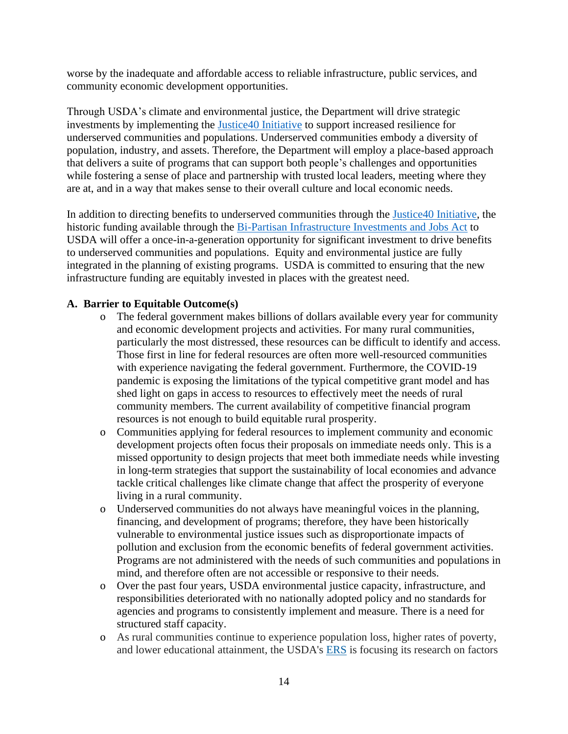worse by the inadequate and affordable access to reliable infrastructure, public services, and community economic development opportunities.

Through USDA's climate and environmental justice, the Department will drive strategic investments by implementing the [Justice40 Initiative](https://www.whitehouse.gov/omb/briefing-room/2021/07/20/the-path-to-achieving-justice40/) to support increased resilience for underserved communities and populations. Underserved communities embody a diversity of population, industry, and assets. Therefore, the Department will employ a place-based approach that delivers a suite of programs that can support both people's challenges and opportunities while fostering a sense of place and partnership with trusted local leaders, meeting where they are at, and in a way that makes sense to their overall culture and local economic needs.

In addition to directing benefits to underserved communities through the [Justice40 Initiative,](https://www.whitehouse.gov/omb/briefing-room/2021/07/20/the-path-to-achieving-justice40/) the historic funding available through the [Bi-Partisan Infrastructure Investments and Jobs Act](https://www.congress.gov/117/plaws/publ58/PLAW-117publ58.pdf) to USDA will offer a once-in-a-generation opportunity for significant investment to drive benefits to underserved communities and populations. Equity and environmental justice are fully integrated in the planning of existing programs. USDA is committed to ensuring that the new infrastructure funding are equitably invested in places with the greatest need.

### **A. Barrier to Equitable Outcome(s)**

- o The federal government makes billions of dollars available every year for community and economic development projects and activities. For many rural communities, particularly the most distressed, these resources can be difficult to identify and access. Those first in line for federal resources are often more well-resourced communities with experience navigating the federal government. Furthermore, the COVID-19 pandemic is exposing the limitations of the typical competitive grant model and has shed light on gaps in access to resources to effectively meet the needs of rural community members. The current availability of competitive financial program resources is not enough to build equitable rural prosperity.
- o Communities applying for federal resources to implement community and economic development projects often focus their proposals on immediate needs only. This is a missed opportunity to design projects that meet both immediate needs while investing in long-term strategies that support the sustainability of local economies and advance tackle critical challenges like climate change that affect the prosperity of everyone living in a rural community.
- o Underserved communities do not always have meaningful voices in the planning, financing, and development of programs; therefore, they have been historically vulnerable to environmental justice issues such as disproportionate impacts of pollution and exclusion from the economic benefits of federal government activities. Programs are not administered with the needs of such communities and populations in mind, and therefore often are not accessible or responsive to their needs.
- o Over the past four years, USDA environmental justice capacity, infrastructure, and responsibilities deteriorated with no nationally adopted policy and no standards for agencies and programs to consistently implement and measure. There is a need for structured staff capacity.
- o As rural communities continue to experience population loss, higher rates of poverty, and lower educational attainment, the USDA's [ERS](https://www.ers.usda.gov/topics/rural-economy-population/rural-poverty-well-being.aspx) is focusing its research on factors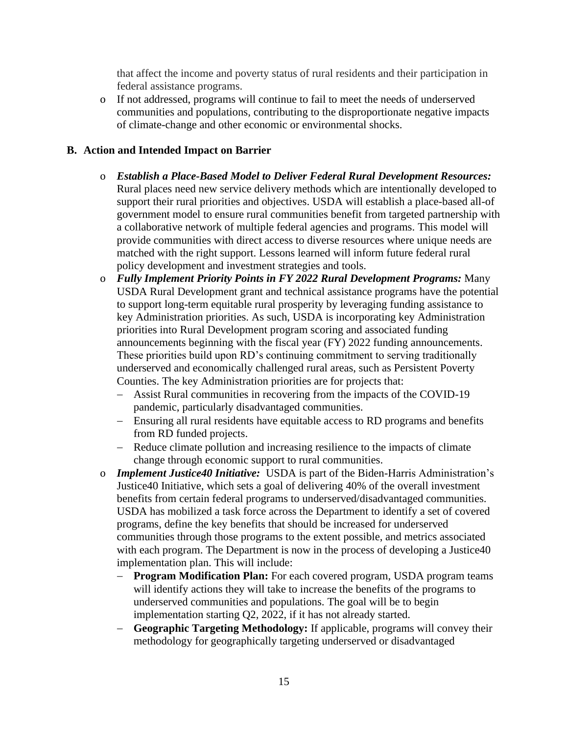that affect the income and poverty status of rural residents and their participation in federal assistance programs.

o If not addressed, programs will continue to fail to meet the needs of underserved communities and populations, contributing to the disproportionate negative impacts of climate-change and other economic or environmental shocks.

- o *Establish a Place-Based Model to Deliver Federal Rural Development Resources:*  Rural places need new service delivery methods which are intentionally developed to support their rural priorities and objectives. USDA will establish a place-based all-of government model to ensure rural communities benefit from targeted partnership with a collaborative network of multiple federal agencies and programs. This model will provide communities with direct access to diverse resources where unique needs are matched with the right support. Lessons learned will inform future federal rural policy development and investment strategies and tools.
- o *Fully Implement Priority Points in FY 2022 Rural Development Programs:* Many USDA Rural Development grant and technical assistance programs have the potential to support long-term equitable rural prosperity by leveraging funding assistance to key Administration priorities. As such, USDA is incorporating key Administration priorities into Rural Development program scoring and associated funding announcements beginning with the fiscal year (FY) 2022 funding announcements. These priorities build upon RD's continuing commitment to serving traditionally underserved and economically challenged rural areas, such as Persistent Poverty Counties. The key Administration priorities are for projects that:
	- − Assist Rural communities in recovering from the impacts of the COVID-19 pandemic, particularly disadvantaged communities.
	- − Ensuring all rural residents have equitable access to RD programs and benefits from RD funded projects.
	- − Reduce climate pollution and increasing resilience to the impacts of climate change through economic support to rural communities.
- o *Implement Justice40 Initiative:* USDA is part of the Biden-Harris Administration's Justice40 Initiative, which sets a goal of delivering 40% of the overall investment benefits from certain federal programs to underserved/disadvantaged communities. USDA has mobilized a task force across the Department to identify a set of covered programs, define the key benefits that should be increased for underserved communities through those programs to the extent possible, and metrics associated with each program. The Department is now in the process of developing a Justice 40 implementation plan. This will include:
	- − **Program Modification Plan:** For each covered program, USDA program teams will identify actions they will take to increase the benefits of the programs to underserved communities and populations. The goal will be to begin implementation starting Q2, 2022, if it has not already started.
	- − **Geographic Targeting Methodology:** If applicable, programs will convey their methodology for geographically targeting underserved or disadvantaged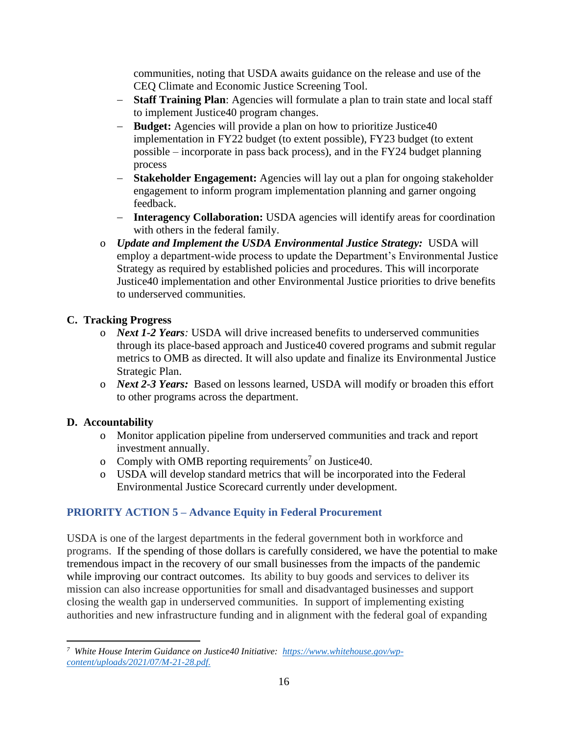communities, noting that USDA awaits guidance on the release and use of the CEQ Climate and Economic Justice Screening Tool.

- − **Staff Training Plan**: Agencies will formulate a plan to train state and local staff to implement Justice40 program changes.
- − **Budget:** Agencies will provide a plan on how to prioritize Justice40 implementation in FY22 budget (to extent possible), FY23 budget (to extent possible – incorporate in pass back process), and in the FY24 budget planning process
- − **Stakeholder Engagement:** Agencies will lay out a plan for ongoing stakeholder engagement to inform program implementation planning and garner ongoing feedback.
- − **Interagency Collaboration:** USDA agencies will identify areas for coordination with others in the federal family.
- o *Update and Implement the USDA Environmental Justice Strategy:* USDA will employ a department-wide process to update the Department's Environmental Justice Strategy as required by established policies and procedures. This will incorporate Justice40 implementation and other Environmental Justice priorities to drive benefits to underserved communities.

# **C. Tracking Progress**

- o *Next 1-2 Years:* USDA will drive increased benefits to underserved communities through its place-based approach and Justice40 covered programs and submit regular metrics to OMB as directed. It will also update and finalize its Environmental Justice Strategic Plan.
- o *Next 2-3 Years:* Based on lessons learned, USDA will modify or broaden this effort to other programs across the department.

## **D. Accountability**

- o Monitor application pipeline from underserved communities and track and report investment annually.
- o Comply with OMB reporting requirements<sup>7</sup> on Justice 40.
- o USDA will develop standard metrics that will be incorporated into the Federal Environmental Justice Scorecard currently under development.

# **PRIORITY ACTION 5 – Advance Equity in Federal Procurement**

USDA is one of the largest departments in the federal government both in workforce and programs. If the spending of those dollars is carefully considered, we have the potential to make tremendous impact in the recovery of our small businesses from the impacts of the pandemic while improving our contract outcomes. Its ability to buy goods and services to deliver its mission can also increase opportunities for small and disadvantaged businesses and support closing the wealth gap in underserved communities. In support of implementing existing authorities and new infrastructure funding and in alignment with the federal goal of expanding

*<sup>7</sup> White House Interim Guidance on Justice40 Initiative: [https://www.whitehouse.gov/wp](https://www.whitehouse.gov/wp-content/uploads/2021/07/M-21-28.pdf)[content/uploads/2021/07/M-21-28.pdf.](https://www.whitehouse.gov/wp-content/uploads/2021/07/M-21-28.pdf)*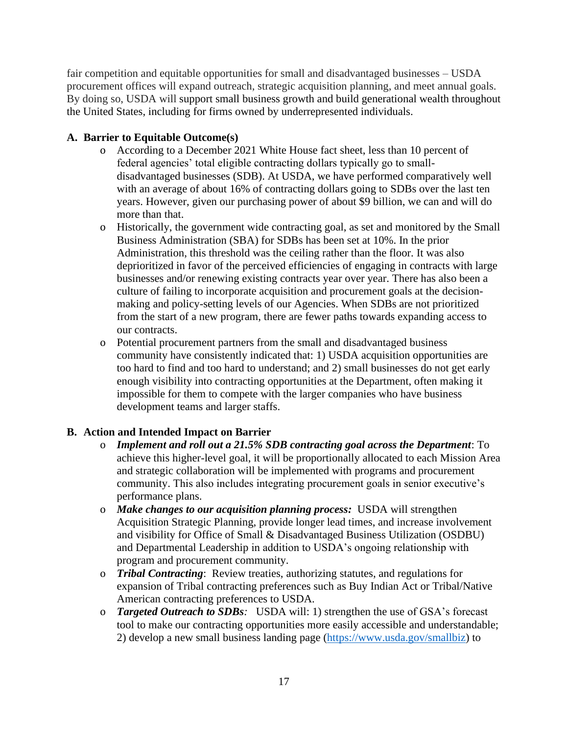fair competition and equitable opportunities for small and disadvantaged businesses – USDA procurement offices will expand outreach, strategic acquisition planning, and meet annual goals. By doing so, USDA will support small business growth and build generational wealth throughout the United States, including for firms owned by underrepresented individuals.

# **A. Barrier to Equitable Outcome(s)**

- o According to a December 2021 White House fact sheet, less than 10 percent of federal agencies' total eligible contracting dollars typically go to smalldisadvantaged businesses (SDB). At USDA, we have performed comparatively well with an average of about 16% of contracting dollars going to SDBs over the last ten years. However, given our purchasing power of about \$9 billion, we can and will do more than that.
- o Historically, the government wide contracting goal, as set and monitored by the Small Business Administration (SBA) for SDBs has been set at 10%. In the prior Administration, this threshold was the ceiling rather than the floor. It was also deprioritized in favor of the perceived efficiencies of engaging in contracts with large businesses and/or renewing existing contracts year over year. There has also been a culture of failing to incorporate acquisition and procurement goals at the decisionmaking and policy-setting levels of our Agencies. When SDBs are not prioritized from the start of a new program, there are fewer paths towards expanding access to our contracts.
- o Potential procurement partners from the small and disadvantaged business community have consistently indicated that: 1) USDA acquisition opportunities are too hard to find and too hard to understand; and 2) small businesses do not get early enough visibility into contracting opportunities at the Department, often making it impossible for them to compete with the larger companies who have business development teams and larger staffs.

- o *Implement and roll out a 21.5% SDB contracting goal across the Department*: To achieve this higher-level goal, it will be proportionally allocated to each Mission Area and strategic collaboration will be implemented with programs and procurement community. This also includes integrating procurement goals in senior executive's performance plans.
- o *Make changes to our acquisition planning process:* USDA will strengthen Acquisition Strategic Planning, provide longer lead times, and increase involvement and visibility for Office of Small & Disadvantaged Business Utilization (OSDBU) and Departmental Leadership in addition to USDA's ongoing relationship with program and procurement community.
- o *Tribal Contracting*: Review treaties, authorizing statutes, and regulations for expansion of Tribal contracting preferences such as Buy Indian Act or Tribal/Native American contracting preferences to USDA.
- o *Targeted Outreach to SDBs:* USDA will: 1) strengthen the use of GSA's forecast tool to make our contracting opportunities more easily accessible and understandable; 2) develop a new small business landing page [\(https://www.usda.gov/smallbiz\)](https://www.usda.gov/smallbiz) to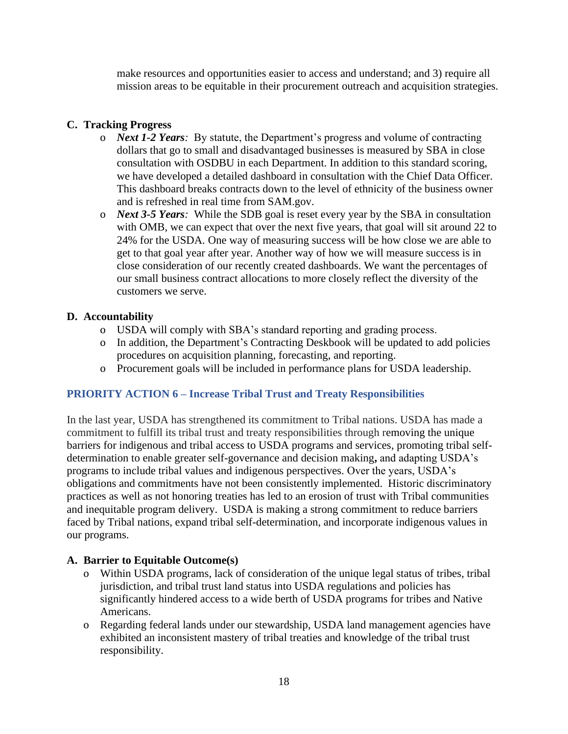make resources and opportunities easier to access and understand; and 3) require all mission areas to be equitable in their procurement outreach and acquisition strategies.

# **C. Tracking Progress**

- o *Next 1-2 Years:* By statute, the Department's progress and volume of contracting dollars that go to small and disadvantaged businesses is measured by SBA in close consultation with OSDBU in each Department. In addition to this standard scoring, we have developed a detailed dashboard in consultation with the Chief Data Officer. This dashboard breaks contracts down to the level of ethnicity of the business owner and is refreshed in real time from SAM.gov.
- o *Next 3-5 Years:* While the SDB goal is reset every year by the SBA in consultation with OMB, we can expect that over the next five years, that goal will sit around 22 to 24% for the USDA. One way of measuring success will be how close we are able to get to that goal year after year. Another way of how we will measure success is in close consideration of our recently created dashboards. We want the percentages of our small business contract allocations to more closely reflect the diversity of the customers we serve.

## **D. Accountability**

- o USDA will comply with SBA's standard reporting and grading process.
- o In addition, the Department's Contracting Deskbook will be updated to add policies procedures on acquisition planning, forecasting, and reporting.
- o Procurement goals will be included in performance plans for USDA leadership.

## **PRIORITY ACTION 6 – Increase Tribal Trust and Treaty Responsibilities**

In the last year, USDA has strengthened its commitment to Tribal nations. USDA has made a commitment to fulfill its tribal trust and treaty responsibilities through removing the unique barriers for indigenous and tribal access to USDA programs and services, promoting tribal selfdetermination to enable greater self-governance and decision making**,** and adapting USDA's programs to include tribal values and indigenous perspectives. Over the years, USDA's obligations and commitments have not been consistently implemented. Historic discriminatory practices as well as not honoring treaties has led to an erosion of trust with Tribal communities and inequitable program delivery. USDA is making a strong commitment to reduce barriers faced by Tribal nations, expand tribal self-determination, and incorporate indigenous values in our programs.

### **A. Barrier to Equitable Outcome(s)**

- o Within USDA programs, lack of consideration of the unique legal status of tribes, tribal jurisdiction, and tribal trust land status into USDA regulations and policies has significantly hindered access to a wide berth of USDA programs for tribes and Native Americans.
- o Regarding federal lands under our stewardship, USDA land management agencies have exhibited an inconsistent mastery of tribal treaties and knowledge of the tribal trust responsibility.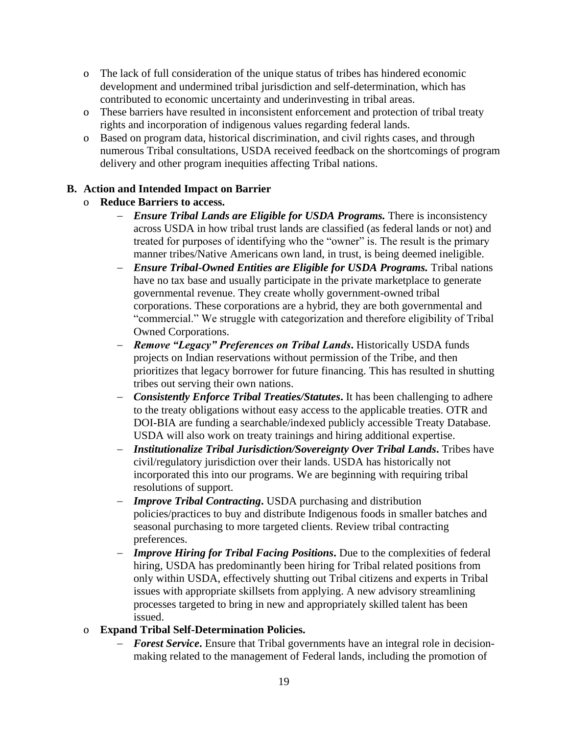- o The lack of full consideration of the unique status of tribes has hindered economic development and undermined tribal jurisdiction and self-determination, which has contributed to economic uncertainty and underinvesting in tribal areas.
- o These barriers have resulted in inconsistent enforcement and protection of tribal treaty rights and incorporation of indigenous values regarding federal lands.
- o Based on program data, historical discrimination, and civil rights cases, and through numerous Tribal consultations, USDA received feedback on the shortcomings of program delivery and other program inequities affecting Tribal nations.

- o **Reduce Barriers to access.**
	- − *Ensure Tribal Lands are Eligible for USDA Programs.* There is inconsistency across USDA in how tribal trust lands are classified (as federal lands or not) and treated for purposes of identifying who the "owner" is. The result is the primary manner tribes/Native Americans own land, in trust, is being deemed ineligible.
	- − *Ensure Tribal-Owned Entities are Eligible for USDA Programs.* Tribal nations have no tax base and usually participate in the private marketplace to generate governmental revenue. They create wholly government-owned tribal corporations. These corporations are a hybrid, they are both governmental and "commercial." We struggle with categorization and therefore eligibility of Tribal Owned Corporations.
	- − *Remove "Legacy" Preferences on Tribal Lands***.** Historically USDA funds projects on Indian reservations without permission of the Tribe, and then prioritizes that legacy borrower for future financing. This has resulted in shutting tribes out serving their own nations.
	- − *Consistently Enforce Tribal Treaties/Statutes***.** It has been challenging to adhere to the treaty obligations without easy access to the applicable treaties. OTR and DOI-BIA are funding a searchable/indexed publicly accessible Treaty Database. USDA will also work on treaty trainings and hiring additional expertise.
	- − *Institutionalize Tribal Jurisdiction/Sovereignty Over Tribal Lands***.** Tribes have civil/regulatory jurisdiction over their lands. USDA has historically not incorporated this into our programs. We are beginning with requiring tribal resolutions of support.
	- − *Improve Tribal Contracting***.** USDA purchasing and distribution policies/practices to buy and distribute Indigenous foods in smaller batches and seasonal purchasing to more targeted clients. Review tribal contracting preferences.
	- − *Improve Hiring for Tribal Facing Positions***.** Due to the complexities of federal hiring, USDA has predominantly been hiring for Tribal related positions from only within USDA, effectively shutting out Tribal citizens and experts in Tribal issues with appropriate skillsets from applying. A new advisory streamlining processes targeted to bring in new and appropriately skilled talent has been issued.
- o **Expand Tribal Self-Determination Policies.** 
	- − *Forest Service***.** Ensure that Tribal governments have an integral role in decisionmaking related to the management of Federal lands, including the promotion of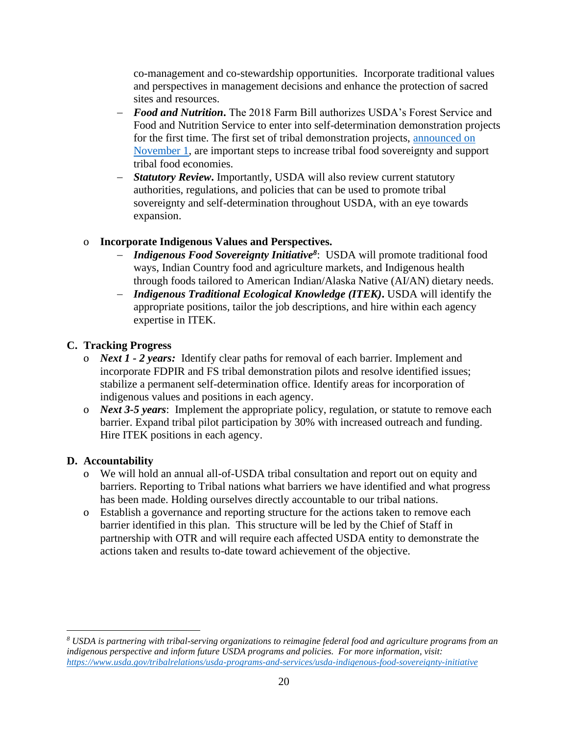co-management and co-stewardship opportunities. Incorporate traditional values and perspectives in management decisions and enhance the protection of sacred sites and resources.

- − *Food and Nutrition***.** The 2018 Farm Bill authorizes USDA's Forest Service and Food and Nutrition Service to enter into self-determination demonstration projects for the first time. The first set of tribal demonstration projects, [announced on](https://www.fns.usda.gov/news-item/fns-0010.21)  [November 1,](https://www.fns.usda.gov/news-item/fns-0010.21) are important steps to increase tribal food sovereignty and support tribal food economies.
- − *Statutory Review***.** Importantly, USDA will also review current statutory authorities, regulations, and policies that can be used to promote tribal sovereignty and self-determination throughout USDA, with an eye towards expansion.

# o **Incorporate Indigenous Values and Perspectives.**

- − *Indigenous Food Sovereignty Initiative<sup>8</sup>* : USDA will promote traditional food ways, Indian Country food and agriculture markets, and Indigenous health through foods tailored to American Indian/Alaska Native (AI/AN) dietary needs.
- − *Indigenous Traditional Ecological Knowledge (ITEK)***.** USDA will identify the appropriate positions, tailor the job descriptions, and hire within each agency expertise in ITEK.

# **C. Tracking Progress**

- o *Next 1 - 2 years:* Identify clear paths for removal of each barrier. Implement and incorporate FDPIR and FS tribal demonstration pilots and resolve identified issues; stabilize a permanent self-determination office. Identify areas for incorporation of indigenous values and positions in each agency.
- o *Next 3-5 years*: Implement the appropriate policy, regulation, or statute to remove each barrier. Expand tribal pilot participation by 30% with increased outreach and funding. Hire ITEK positions in each agency.

# **D. Accountability**

- o We will hold an annual all-of-USDA tribal consultation and report out on equity and barriers. Reporting to Tribal nations what barriers we have identified and what progress has been made. Holding ourselves directly accountable to our tribal nations.
- o Establish a governance and reporting structure for the actions taken to remove each barrier identified in this plan. This structure will be led by the Chief of Staff in partnership with OTR and will require each affected USDA entity to demonstrate the actions taken and results to-date toward achievement of the objective.

*<sup>8</sup> USDA is partnering with tribal-serving organizations to reimagine federal food and agriculture programs from an indigenous perspective and inform future USDA programs and policies. For more information, visit: <https://www.usda.gov/tribalrelations/usda-programs-and-services/usda-indigenous-food-sovereignty-initiative>*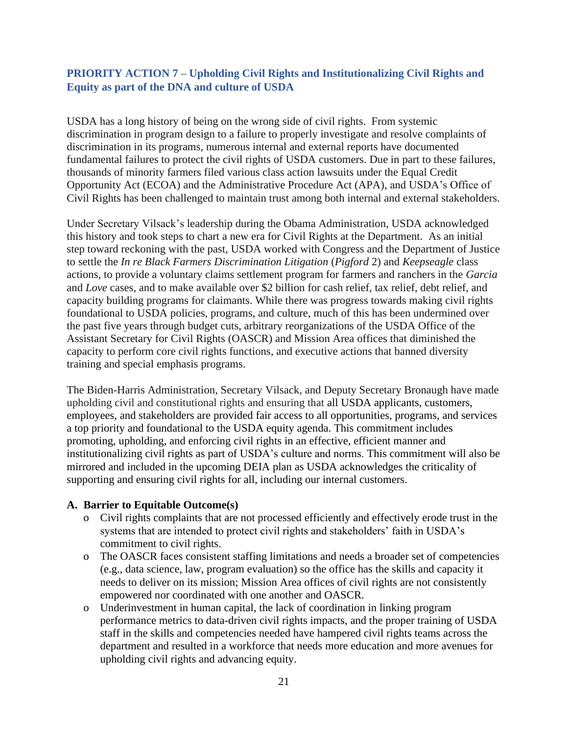# **PRIORITY ACTION 7 – Upholding Civil Rights and Institutionalizing Civil Rights and Equity as part of the DNA and culture of USDA**

USDA has a long history of being on the wrong side of civil rights. From systemic discrimination in program design to a failure to properly investigate and resolve complaints of discrimination in its programs, numerous internal and external reports have documented fundamental failures to protect the civil rights of USDA customers. Due in part to these failures, thousands of minority farmers filed various class action lawsuits under the Equal Credit Opportunity Act (ECOA) and the Administrative Procedure Act (APA), and USDA's Office of Civil Rights has been challenged to maintain trust among both internal and external stakeholders.

Under Secretary Vilsack's leadership during the Obama Administration, USDA acknowledged this history and took steps to chart a new era for Civil Rights at the Department. As an initial step toward reckoning with the past, USDA worked with Congress and the Department of Justice to settle the *In re Black Farmers Discrimination Litigation* (*Pigford* 2) and *Keepseagle* class actions, to provide a voluntary claims settlement program for farmers and ranchers in the *Garcia* and *Love* cases, and to make available over \$2 billion for cash relief, tax relief, debt relief, and capacity building programs for claimants. While there was progress towards making civil rights foundational to USDA policies, programs, and culture, much of this has been undermined over the past five years through budget cuts, arbitrary reorganizations of the USDA Office of the Assistant Secretary for Civil Rights (OASCR) and Mission Area offices that diminished the capacity to perform core civil rights functions, and executive actions that banned diversity training and special emphasis programs.

The Biden-Harris Administration, Secretary Vilsack, and Deputy Secretary Bronaugh have made upholding civil and constitutional rights and ensuring that all USDA applicants, customers, employees, and stakeholders are provided fair access to all opportunities, programs, and services a top priority and foundational to the USDA equity agenda. This commitment includes promoting, upholding, and enforcing civil rights in an effective, efficient manner and institutionalizing civil rights as part of USDA's culture and norms. This commitment will also be mirrored and included in the upcoming DEIA plan as USDA acknowledges the criticality of supporting and ensuring civil rights for all, including our internal customers.

### **A. Barrier to Equitable Outcome(s)**

- o Civil rights complaints that are not processed efficiently and effectively erode trust in the systems that are intended to protect civil rights and stakeholders' faith in USDA's commitment to civil rights.
- o The OASCR faces consistent staffing limitations and needs a broader set of competencies (e.g., data science, law, program evaluation) so the office has the skills and capacity it needs to deliver on its mission; Mission Area offices of civil rights are not consistently empowered nor coordinated with one another and OASCR.
- o Underinvestment in human capital, the lack of coordination in linking program performance metrics to data-driven civil rights impacts, and the proper training of USDA staff in the skills and competencies needed have hampered civil rights teams across the department and resulted in a workforce that needs more education and more avenues for upholding civil rights and advancing equity.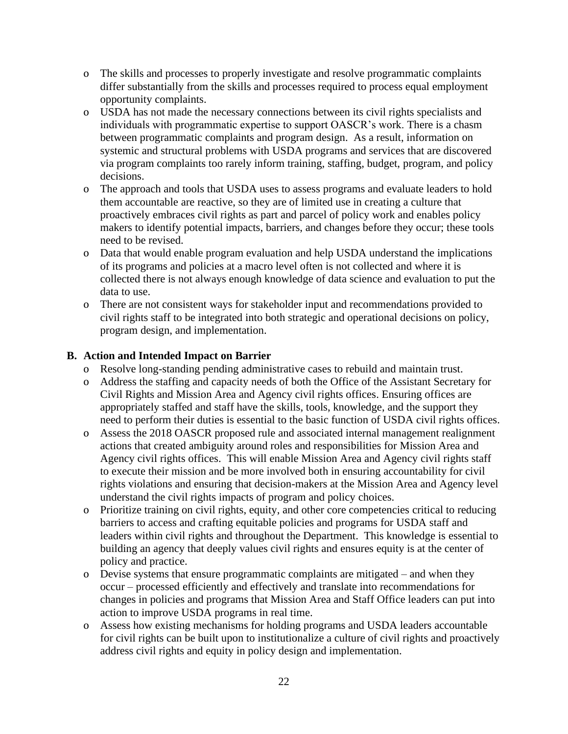- o The skills and processes to properly investigate and resolve programmatic complaints differ substantially from the skills and processes required to process equal employment opportunity complaints.
- o USDA has not made the necessary connections between its civil rights specialists and individuals with programmatic expertise to support OASCR's work. There is a chasm between programmatic complaints and program design. As a result, information on systemic and structural problems with USDA programs and services that are discovered via program complaints too rarely inform training, staffing, budget, program, and policy decisions.
- o The approach and tools that USDA uses to assess programs and evaluate leaders to hold them accountable are reactive, so they are of limited use in creating a culture that proactively embraces civil rights as part and parcel of policy work and enables policy makers to identify potential impacts, barriers, and changes before they occur; these tools need to be revised.
- o Data that would enable program evaluation and help USDA understand the implications of its programs and policies at a macro level often is not collected and where it is collected there is not always enough knowledge of data science and evaluation to put the data to use.
- o There are not consistent ways for stakeholder input and recommendations provided to civil rights staff to be integrated into both strategic and operational decisions on policy, program design, and implementation.

- o Resolve long-standing pending administrative cases to rebuild and maintain trust.
- o Address the staffing and capacity needs of both the Office of the Assistant Secretary for Civil Rights and Mission Area and Agency civil rights offices. Ensuring offices are appropriately staffed and staff have the skills, tools, knowledge, and the support they need to perform their duties is essential to the basic function of USDA civil rights offices.
- o Assess the 2018 OASCR proposed rule and associated internal management realignment actions that created ambiguity around roles and responsibilities for Mission Area and Agency civil rights offices. This will enable Mission Area and Agency civil rights staff to execute their mission and be more involved both in ensuring accountability for civil rights violations and ensuring that decision-makers at the Mission Area and Agency level understand the civil rights impacts of program and policy choices.
- o Prioritize training on civil rights, equity, and other core competencies critical to reducing barriers to access and crafting equitable policies and programs for USDA staff and leaders within civil rights and throughout the Department. This knowledge is essential to building an agency that deeply values civil rights and ensures equity is at the center of policy and practice.
- o Devise systems that ensure programmatic complaints are mitigated and when they occur – processed efficiently and effectively and translate into recommendations for changes in policies and programs that Mission Area and Staff Office leaders can put into action to improve USDA programs in real time.
- o Assess how existing mechanisms for holding programs and USDA leaders accountable for civil rights can be built upon to institutionalize a culture of civil rights and proactively address civil rights and equity in policy design and implementation.